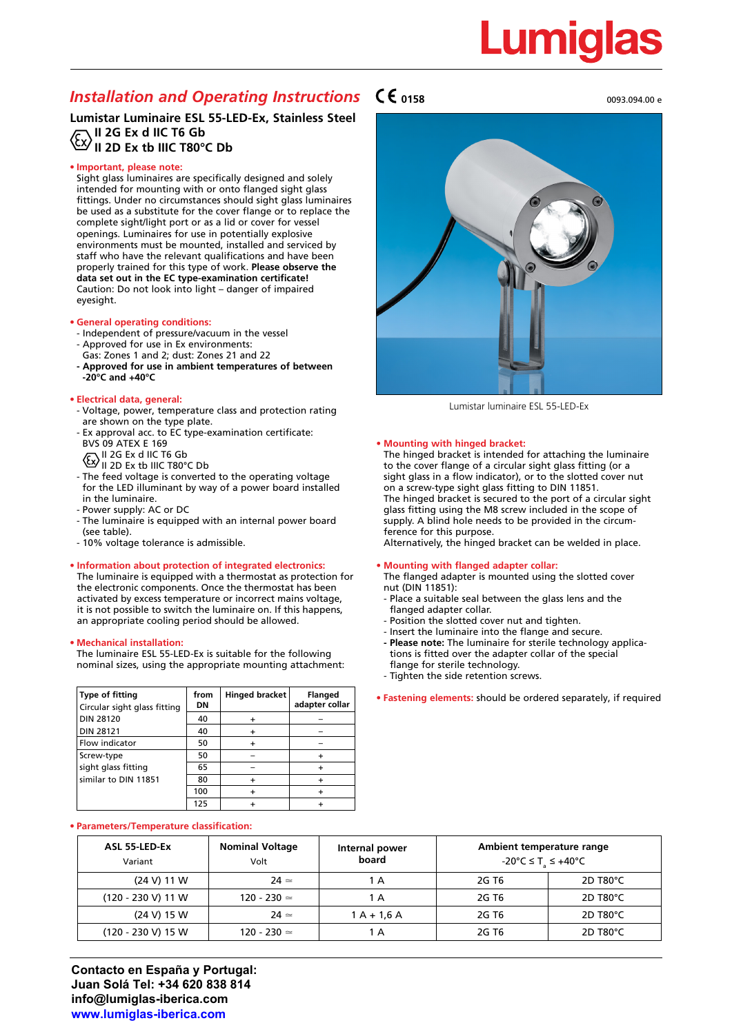# Lumial

### **Installation and Operating Instructions**  $\mathsf{C}\boldsymbol{\epsilon}$  **0158** 0093.094.00 **e** 0093.094.00 **e**

### **Lumistar Luminaire ESL 55-LED-Ex, Stainless Steel II 2G Ex d IIC T6 Gb II 2D Ex tb IIIC T80°C Db**

#### **• Important, please note:**

Sight glass luminaires are specifically designed and solely intended for mounting with or onto flanged sight glass fittings. Under no circumstances should sight glass luminaires be used as a substitute for the cover flange or to replace the complete sight/light port or as a lid or cover for vessel openings. Luminaires for use in potentially explosive environments must be mounted, installed and serviced by staff who have the relevant qualifications and have been properly trained for this type of work. **Please observe the data set out in the EC type-examination certificate!** Caution: Do not look into light – danger of impaired eyesight.

#### **• General operating conditions:**

- Independent of pressure/vacuum in the vessel
- Approved for use in Ex environments:
- Gas: Zones 1 and 2; dust: Zones 21 and 22
- **Approved for use in ambient temperatures of between -20°C and +40°C**

#### **• Electrical data, general:**

- Voltage, power, temperature class and protection rating are shown on the type plate.
- Ex approval acc. to EC type-examination certificate: BVS 09 ATEX E 169
- II 2G Ex d IIC T6 Gb
- II 2D Ex tb IIIC T80°C Db
- The feed voltage is converted to the operating voltage for the LED illuminant by way of a power board installed in the luminaire.
- Power supply: AC or DC
- The luminaire is equipped with an internal power board (see table).
- 10% voltage tolerance is admissible.

#### **• Information about protection of integrated electronics:**

The luminaire is equipped with a thermostat as protection for the electronic components. Once the thermostat has been activated by excess temperature or incorrect mains voltage, it is not possible to switch the luminaire on. If this happens, an appropriate cooling period should be allowed.

#### **• Mechanical installation:**

The luminaire ESL 55-LED-Ex is suitable for the following nominal sizes, using the appropriate mounting attachment:

| Type of fitting<br>Circular sight glass fitting | from<br>DΝ | Hinged bracket | <b>Flanged</b><br>adapter collar |
|-------------------------------------------------|------------|----------------|----------------------------------|
| <b>DIN 28120</b>                                | 40         |                |                                  |
| <b>DIN 28121</b>                                | 40         |                |                                  |
| Flow indicator                                  | 50         |                |                                  |
| Screw-type                                      | 50         |                |                                  |
| sight glass fitting                             | 65         |                |                                  |
| similar to DIN 11851                            | 80         |                |                                  |
|                                                 | 100        |                |                                  |
|                                                 | 125        |                |                                  |

#### **• Parameters/Temperature classification:**

| ASL 55-LED-Ex<br>Variant | <b>Nominal Voltage</b><br>Volt | Internal power<br>board | Ambient temperature range<br>$-20^{\circ}$ C $\leq$ T <sub>s</sub> $\leq$ +40 $^{\circ}$ C |                       |
|--------------------------|--------------------------------|-------------------------|--------------------------------------------------------------------------------------------|-----------------------|
| (24 V) 11 W              | $24 \simeq$                    | 1 A                     | 2G T6                                                                                      | $2D$ T80 $^{\circ}$ C |
| $(120 - 230 V)$ 11 W     | 120 - 230 $\simeq$             | 1 A                     | 2G T6                                                                                      | $2D$ T80 $^{\circ}$ C |
| (24 V) 15 W              | $24 \simeq$                    | $1 A + 1.6 A$           | 2G T6                                                                                      | $2D$ T80 $^{\circ}$ C |
| $(120 - 230 V)$ 15 W     | 120 - 230 $\simeq$             | 1 A                     | 2G T6                                                                                      | $2D$ T80 $^{\circ}$ C |



Lumistar luminaire ESL 55-LED-Ex

#### **• Mounting with hinged bracket:**

The hinged bracket is intended for attaching the luminaire to the cover flange of a circular sight glass fitting (or a sight glass in a flow indicator), or to the slotted cover nut on a screw-type sight glass fitting to DIN 11851. The hinged bracket is secured to the port of a circular sight glass fitting using the M8 screw included in the scope of supply. A blind hole needs to be provided in the circumference for this purpose.

Alternatively, the hinged bracket can be welded in place.

#### **• Mounting with flanged adapter collar:**

The flanged adapter is mounted using the slotted cover nut (DIN 11851):

- Place a suitable seal between the glass lens and the flanged adapter collar.
- Position the slotted cover nut and tighten.
- Insert the luminaire into the flange and secure.
- **- Please note:** The luminaire for sterile technology applica tions is fitted over the adapter collar of the special flange for sterile technology.
- Tighten the side retention screws.
- **• Fastening elements:** should be ordered separately, if required